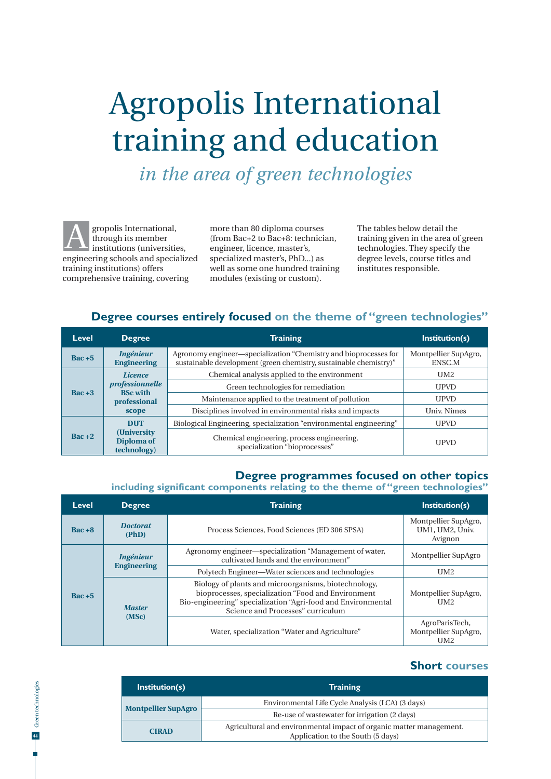# Agropolis International training and education

*in the area of green technologies*

gropolis International, through its member institutions (universities, engineering schools and specialized training institutions) offers comprehensive training, covering A

more than 80 diploma courses (from Bac+2 to Bac+8: technician, engineer, licence, master's, specialized master's, PhD...) as well as some one hundred training modules (existing or custom).

The tables below detail the training given in the area of green technologies. They specify the degree levels, course titles and institutes responsible.

#### **Degree courses entirely focused on the theme of "green technologies"**

| Level            | <b>Degree</b>                                      | <b>Training</b>                                                                                                                       | Institution(s)                 |
|------------------|----------------------------------------------------|---------------------------------------------------------------------------------------------------------------------------------------|--------------------------------|
| $\text{Bac} + 5$ | <i>Ingénieur</i><br><b>Engineering</b>             | Agronomy engineer—specialization "Chemistry and bioprocesses for<br>sustainable development (green chemistry, sustainable chemistry)" | Montpellier SupAgro,<br>ENSC.M |
| $Bac + 3$        | <i>Licence</i>                                     | Chemical analysis applied to the environment                                                                                          | IJM2                           |
|                  | professionnelle<br><b>BSc with</b><br>professional | Green technologies for remediation                                                                                                    | <b>UPVD</b>                    |
|                  |                                                    | Maintenance applied to the treatment of pollution                                                                                     | <b>UPVD</b>                    |
|                  | scope                                              | Disciplines involved in environmental risks and impacts                                                                               | Univ. Nîmes                    |
| $\text{Rac} + 2$ | <b>DUT</b>                                         | Biological Engineering, specialization "environmental engineering"                                                                    | <b>UPVD</b>                    |
|                  | (University)<br>Diploma of<br>technology)          | Chemical engineering, process engineering,<br>specialization "bioprocesses"                                                           | <b>UPVD</b>                    |

#### **Degree programmes focused on other topics**

**including significant components relating to the theme of "green technologies"**

| Level            | <b>Degree</b>                          | <b>Training</b>                                                                                                                                                                                                  | Institution(s)                                            |
|------------------|----------------------------------------|------------------------------------------------------------------------------------------------------------------------------------------------------------------------------------------------------------------|-----------------------------------------------------------|
| $\text{Bac} + 8$ | <b>Doctorat</b><br>(PhD)               | Process Sciences, Food Sciences (ED 306 SPSA)                                                                                                                                                                    | Montpellier SupAgro,<br>UM1, UM2, Univ.<br>Avignon        |
| $\text{Bac} + 5$ | <i>Ingénieur</i><br><b>Engineering</b> | Agronomy engineer—specialization "Management of water,<br>cultivated lands and the environment"                                                                                                                  | Montpellier SupAgro                                       |
|                  |                                        | Polytech Engineer—Water sciences and technologies                                                                                                                                                                | UM2                                                       |
|                  | <b>Master</b><br>(MSc)                 | Biology of plants and microorganisms, biotechnology,<br>bioprocesses, specialization "Food and Environment"<br>Bio-engineering" specialization "Agri-food and Environmental<br>Science and Processes" curriculum | Montpellier SupAgro,<br>UM <sub>2</sub>                   |
|                  |                                        | Water, specialization "Water and Agriculture"                                                                                                                                                                    | AgroParisTech,<br>Montpellier SupAgro,<br>UM <sub>2</sub> |

### **Short courses**

| Institution(s)             | <b>Training</b>                                                                                          |  |
|----------------------------|----------------------------------------------------------------------------------------------------------|--|
|                            | Environmental Life Cycle Analysis (LCA) (3 days)                                                         |  |
| <b>Montpellier SupAgro</b> | Re-use of wastewater for irrigation (2 days)                                                             |  |
| <b>CIRAD</b>               | Agricultural and environmental impact of organic matter management.<br>Application to the South (5 days) |  |